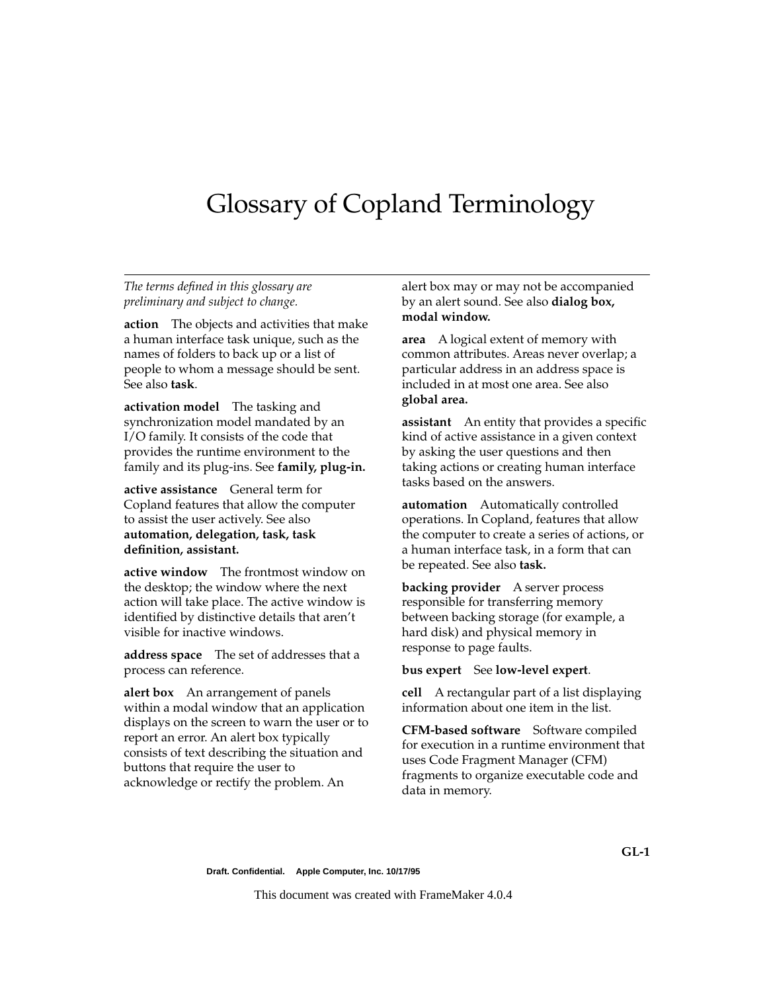# Glossary of Copland Terminology

# *The terms defined in this glossary are preliminary and subject to change.*

**action** The objects and activities that make a human interface task unique, such as the names of folders to back up or a list of people to whom a message should be sent. See also **task**.

**activation model** The tasking and synchronization model mandated by an I/O family. It consists of the code that provides the runtime environment to the family and its plug-ins. See **family, plug-in.** 

**active assistance** General term for Copland features that allow the computer to assist the user actively. See also **automation, delegation, task, task definition, assistant.** 

**active window** The frontmost window on the desktop; the window where the next action will take place. The active window is identified by distinctive details that aren't visible for inactive windows.

**address space** The set of addresses that a process can reference.

**alert box** An arrangement of panels within a modal window that an application displays on the screen to warn the user or to report an error. An alert box typically consists of text describing the situation and buttons that require the user to acknowledge or rectify the problem. An

alert box may or may not be accompanied by an alert sound. See also **dialog box, modal window.**

**area** A logical extent of memory with common attributes. Areas never overlap; a particular address in an address space is included in at most one area. See also **global area.** 

**assistant** An entity that provides a specific kind of active assistance in a given context by asking the user questions and then taking actions or creating human interface tasks based on the answers.

**automation** Automatically controlled operations. In Copland, features that allow the computer to create a series of actions, or a human interface task, in a form that can be repeated. See also **task.** 

**backing provider** A server process responsible for transferring memory between backing storage (for example, a hard disk) and physical memory in response to page faults.

#### **bus expert** See **low-level expert**.

**cell** A rectangular part of a list displaying information about one item in the list.

**CFM-based software** Software compiled for execution in a runtime environment that uses Code Fragment Manager (CFM) fragments to organize executable code and data in memory.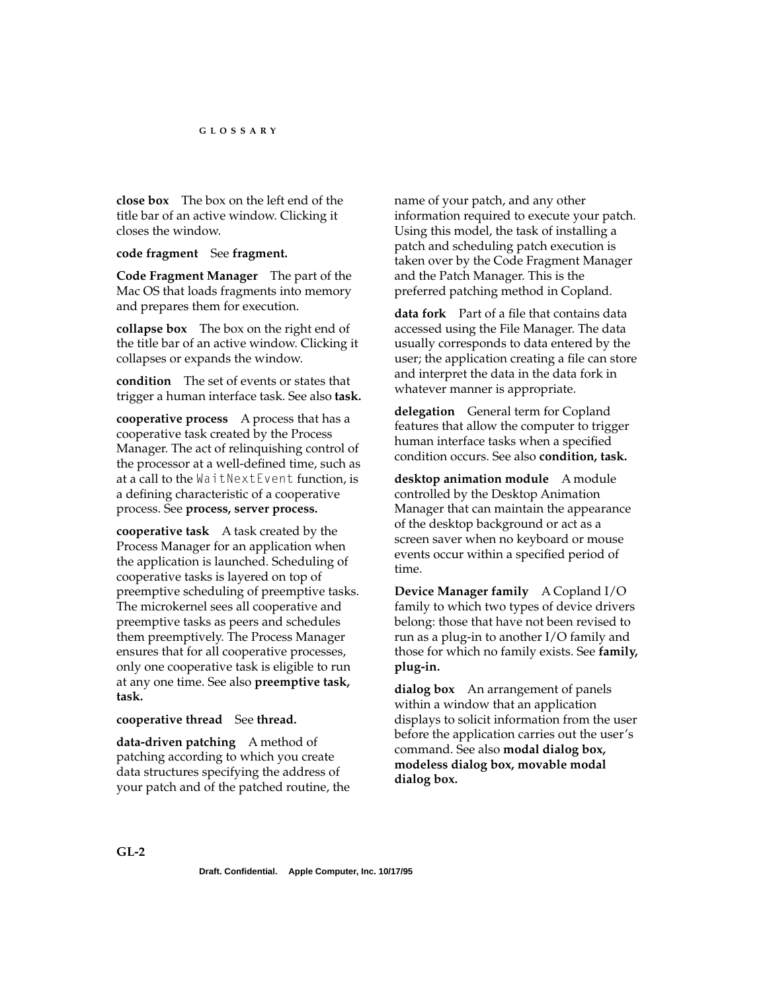**close box** The box on the left end of the title bar of an active window. Clicking it closes the window.

**code fragment** See **fragment.** 

**Code Fragment Manager** The part of the Mac OS that loads fragments into memory and prepares them for execution.

**collapse box** The box on the right end of the title bar of an active window. Clicking it collapses or expands the window.

**condition** The set of events or states that trigger a human interface task. See also **task.** 

**cooperative process** A process that has a cooperative task created by the Process Manager. The act of relinquishing control of the processor at a well-defined time, such as at a call to the WaitNextEvent function, is a defining characteristic of a cooperative process. See **process, server process.** 

**cooperative task** A task created by the Process Manager for an application when the application is launched. Scheduling of cooperative tasks is layered on top of preemptive scheduling of preemptive tasks. The microkernel sees all cooperative and preemptive tasks as peers and schedules them preemptively. The Process Manager ensures that for all cooperative processes, only one cooperative task is eligible to run at any one time. See also **preemptive task, task.** 

**cooperative thread** See **thread.** 

**data-driven patching** A method of patching according to which you create data structures specifying the address of your patch and of the patched routine, the name of your patch, and any other information required to execute your patch. Using this model, the task of installing a patch and scheduling patch execution is taken over by the Code Fragment Manager and the Patch Manager. This is the preferred patching method in Copland.

**data fork** Part of a file that contains data accessed using the File Manager. The data usually corresponds to data entered by the user; the application creating a file can store and interpret the data in the data fork in whatever manner is appropriate.

**delegation** General term for Copland features that allow the computer to trigger human interface tasks when a specified condition occurs. See also **condition, task.** 

**desktop animation module** A module controlled by the Desktop Animation Manager that can maintain the appearance of the desktop background or act as a screen saver when no keyboard or mouse events occur within a specified period of time.

**Device Manager family** A Copland I/O family to which two types of device drivers belong: those that have not been revised to run as a plug-in to another I/O family and those for which no family exists. See **family, plug-in.** 

**dialog box** An arrangement of panels within a window that an application displays to solicit information from the user before the application carries out the user's command. See also **modal dialog box, modeless dialog box, movable modal dialog box.**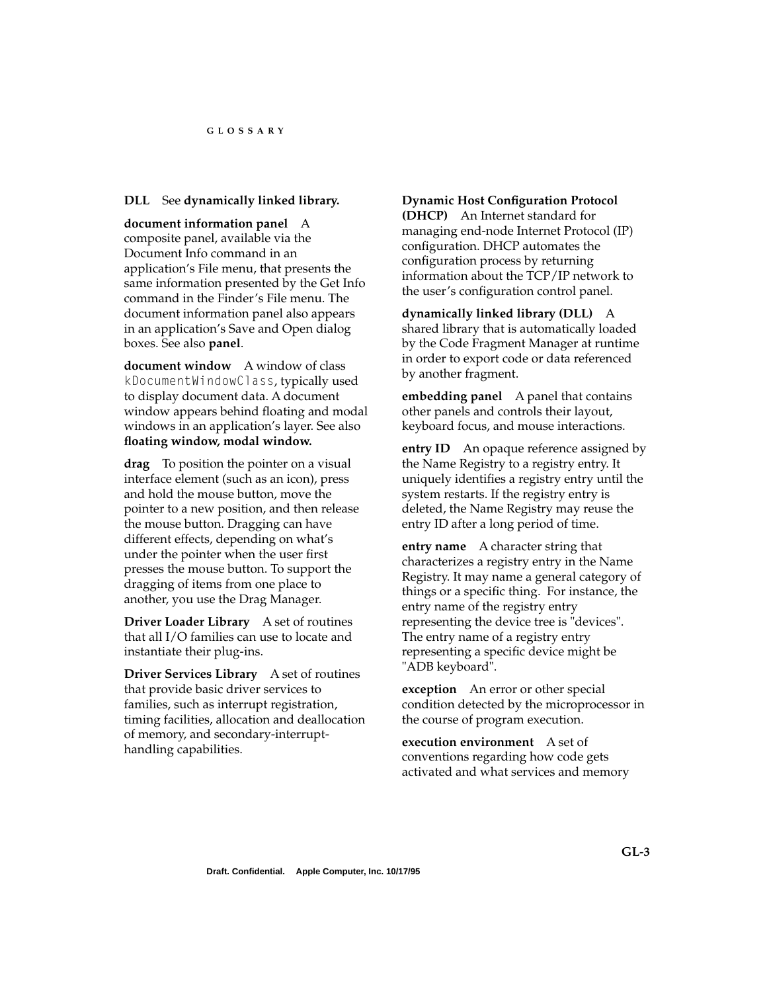# **DLL** See **dynamically linked library.**

**document information panel** A composite panel, available via the Document Info command in an application's File menu, that presents the same information presented by the Get Info command in the Finder's File menu. The document information panel also appears in an application's Save and Open dialog boxes. See also **panel**.

**document window** A window of class kDocumentWindowClass, typically used to display document data. A document window appears behind floating and modal windows in an application's layer. See also **floating window, modal window.**

**drag** To position the pointer on a visual interface element (such as an icon), press and hold the mouse button, move the pointer to a new position, and then release the mouse button. Dragging can have different effects, depending on what's under the pointer when the user first presses the mouse button. To support the dragging of items from one place to another, you use the Drag Manager.

**Driver Loader Library** A set of routines that all I/O families can use to locate and instantiate their plug-ins.

**Driver Services Library** A set of routines that provide basic driver services to families, such as interrupt registration, timing facilities, allocation and deallocation of memory, and secondary-interrupthandling capabilities.

## **Dynamic Host Configuration Protocol**

**(DHCP)** An Internet standard for managing end-node Internet Protocol (IP) configuration. DHCP automates the configuration process by returning information about the TCP/IP network to the user's configuration control panel.

# **dynamically linked library (DLL)** A

shared library that is automatically loaded by the Code Fragment Manager at runtime in order to export code or data referenced by another fragment.

**embedding panel** A panel that contains other panels and controls their layout, keyboard focus, and mouse interactions.

**entry ID** An opaque reference assigned by the Name Registry to a registry entry. It uniquely identifies a registry entry until the system restarts. If the registry entry is deleted, the Name Registry may reuse the entry ID after a long period of time.

**entry name** A character string that characterizes a registry entry in the Name Registry. It may name a general category of things or a specific thing. For instance, the entry name of the registry entry representing the device tree is "devices". The entry name of a registry entry representing a specific device might be "ADB keyboard".

**exception** An error or other special condition detected by the microprocessor in the course of program execution.

**execution environment** A set of conventions regarding how code gets activated and what services and memory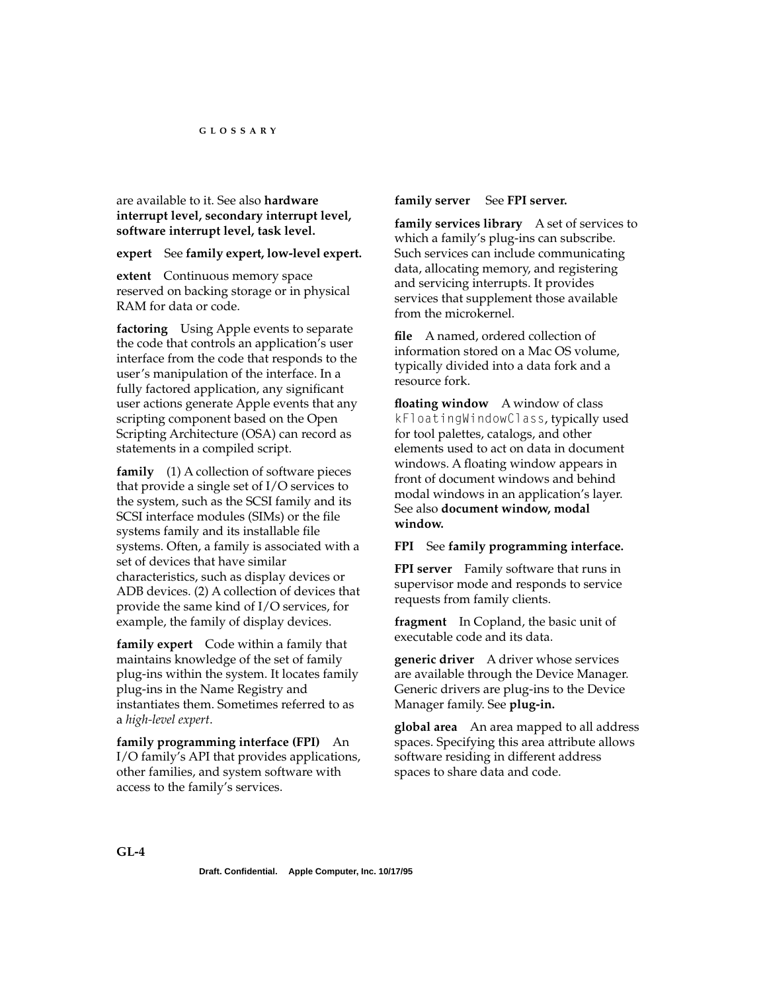are available to it. See also **hardware interrupt level, secondary interrupt level, software interrupt level, task level.** 

### **expert** See **family expert, low-level expert.**

**extent** Continuous memory space reserved on backing storage or in physical RAM for data or code.

**factoring** Using Apple events to separate the code that controls an application's user interface from the code that responds to the user's manipulation of the interface. In a fully factored application, any significant user actions generate Apple events that any scripting component based on the Open Scripting Architecture (OSA) can record as statements in a compiled script.

**family** (1) A collection of software pieces that provide a single set of I/O services to the system, such as the SCSI family and its SCSI interface modules (SIMs) or the file systems family and its installable file systems. Often, a family is associated with a set of devices that have similar characteristics, such as display devices or ADB devices. (2) A collection of devices that provide the same kind of I/O services, for example, the family of display devices.

**family expert** Code within a family that maintains knowledge of the set of family plug-ins within the system. It locates family plug-ins in the Name Registry and instantiates them. Sometimes referred to as a *high-level expert*.

**family programming interface (FPI)** An I/O family's API that provides applications, other families, and system software with access to the family's services.

## **family server** See **FPI server.**

**family services library** A set of services to which a family's plug-ins can subscribe. Such services can include communicating data, allocating memory, and registering and servicing interrupts. It provides services that supplement those available from the microkernel.

**file** A named, ordered collection of information stored on a Mac OS volume, typically divided into a data fork and a resource fork.

**floating window** A window of class kFloatingWindowClass, typically used for tool palettes, catalogs, and other elements used to act on data in document windows. A floating window appears in front of document windows and behind modal windows in an application's layer. See also **document window, modal window.**

## **FPI** See **family programming interface.**

**FPI server** Family software that runs in supervisor mode and responds to service requests from family clients.

**fragment** In Copland, the basic unit of executable code and its data.

**generic driver** A driver whose services are available through the Device Manager. Generic drivers are plug-ins to the Device Manager family. See **plug-in.** 

**global area** An area mapped to all address spaces. Specifying this area attribute allows software residing in different address spaces to share data and code.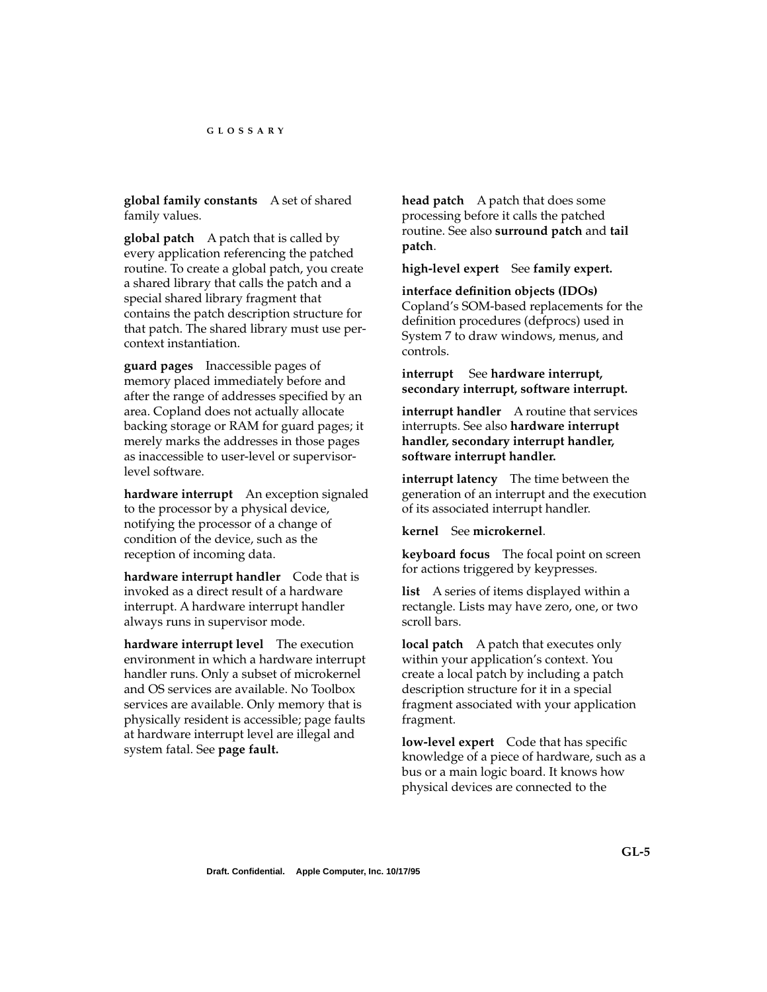**global family constants** A set of shared family values.

**global patch** A patch that is called by every application referencing the patched routine. To create a global patch, you create a shared library that calls the patch and a special shared library fragment that contains the patch description structure for that patch. The shared library must use percontext instantiation.

**guard pages** Inaccessible pages of memory placed immediately before and after the range of addresses specified by an area. Copland does not actually allocate backing storage or RAM for guard pages; it merely marks the addresses in those pages as inaccessible to user-level or supervisorlevel software.

**hardware interrupt** An exception signaled to the processor by a physical device, notifying the processor of a change of condition of the device, such as the reception of incoming data.

**hardware interrupt handler** Code that is invoked as a direct result of a hardware interrupt. A hardware interrupt handler always runs in supervisor mode.

**hardware interrupt level** The execution environment in which a hardware interrupt handler runs. Only a subset of microkernel and OS services are available. No Toolbox services are available. Only memory that is physically resident is accessible; page faults at hardware interrupt level are illegal and system fatal. See **page fault.** 

**head patch** A patch that does some processing before it calls the patched routine. See also **surround patch** and **tail patch**.

**high-level expert** See **family expert.** 

**interface definition objects (IDOs)** Copland's SOM-based replacements for the definition procedures (defprocs) used in System 7 to draw windows, menus, and controls.

**interrupt** See **hardware interrupt, secondary interrupt, software interrupt.** 

**interrupt handler** A routine that services interrupts. See also **hardware interrupt handler, secondary interrupt handler, software interrupt handler.** 

**interrupt latency** The time between the generation of an interrupt and the execution of its associated interrupt handler.

**kernel** See **microkernel**.

**keyboard focus** The focal point on screen for actions triggered by keypresses.

**list** A series of items displayed within a rectangle. Lists may have zero, one, or two scroll bars.

**local patch** A patch that executes only within your application's context. You create a local patch by including a patch description structure for it in a special fragment associated with your application fragment.

**low-level expert** Code that has specific knowledge of a piece of hardware, such as a bus or a main logic board. It knows how physical devices are connected to the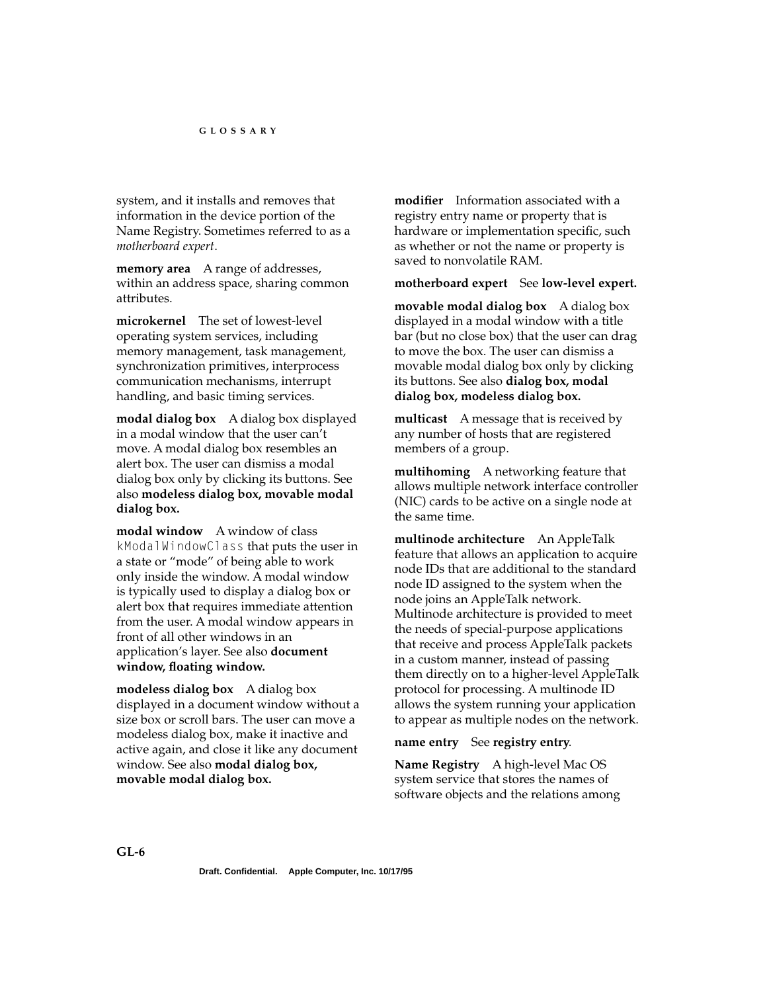system, and it installs and removes that information in the device portion of the Name Registry. Sometimes referred to as a *motherboard expert*.

**memory area** A range of addresses, within an address space, sharing common attributes.

**microkernel** The set of lowest-level operating system services, including memory management, task management, synchronization primitives, interprocess communication mechanisms, interrupt handling, and basic timing services.

**modal dialog box** A dialog box displayed in a modal window that the user can't move. A modal dialog box resembles an alert box. The user can dismiss a modal dialog box only by clicking its buttons. See also **modeless dialog box, movable modal dialog box.**

**modal window** A window of class kModalWindowClass that puts the user in a state or "mode" of being able to work only inside the window. A modal window is typically used to display a dialog box or alert box that requires immediate attention from the user. A modal window appears in front of all other windows in an application's layer. See also **document window, floating window.**

**modeless dialog box** A dialog box displayed in a document window without a size box or scroll bars. The user can move a modeless dialog box, make it inactive and active again, and close it like any document window. See also **modal dialog box, movable modal dialog box.**

**modifier** Information associated with a registry entry name or property that is hardware or implementation specific, such as whether or not the name or property is saved to nonvolatile RAM.

#### **motherboard expert** See **low-level expert.**

**movable modal dialog box** A dialog box displayed in a modal window with a title bar (but no close box) that the user can drag to move the box. The user can dismiss a movable modal dialog box only by clicking its buttons. See also **dialog box, modal dialog box, modeless dialog box.**

**multicast** A message that is received by any number of hosts that are registered members of a group.

**multihoming** A networking feature that allows multiple network interface controller (NIC) cards to be active on a single node at the same time.

**multinode architecture** An AppleTalk feature that allows an application to acquire node IDs that are additional to the standard node ID assigned to the system when the node joins an AppleTalk network. Multinode architecture is provided to meet the needs of special-purpose applications that receive and process AppleTalk packets in a custom manner, instead of passing them directly on to a higher-level AppleTalk protocol for processing. A multinode ID allows the system running your application to appear as multiple nodes on the network.

#### **name entry** See **registry entry**.

**Name Registry** A high-level Mac OS system service that stores the names of software objects and the relations among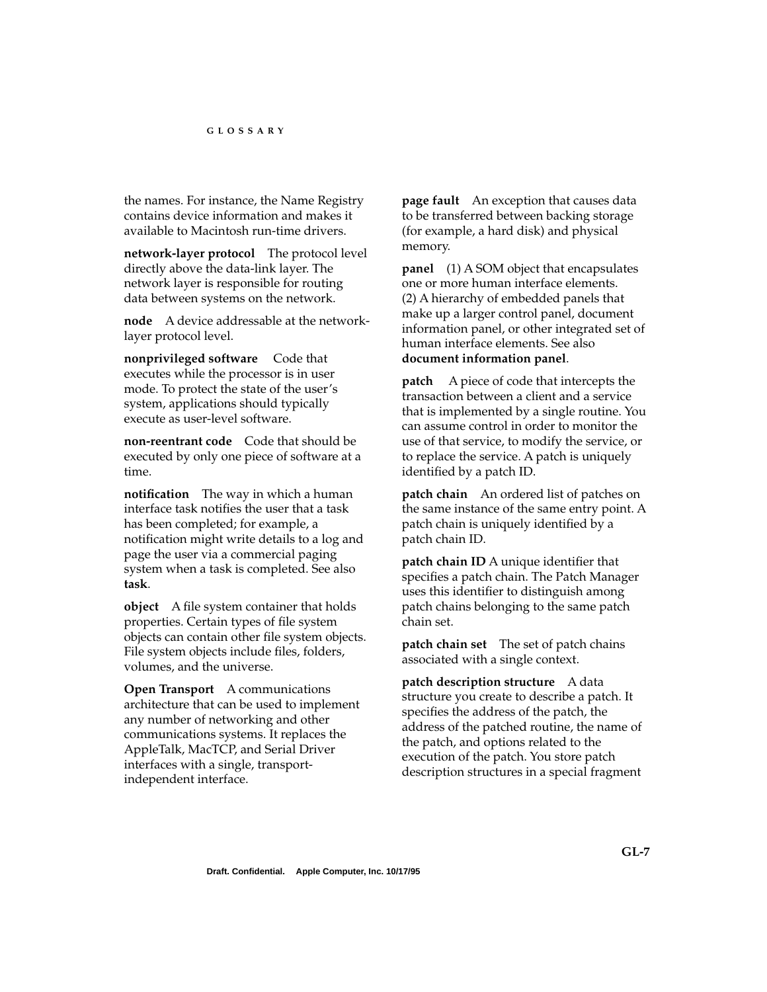the names. For instance, the Name Registry contains device information and makes it available to Macintosh run-time drivers.

**network-layer protocol** The protocol level directly above the data-link layer. The network layer is responsible for routing data between systems on the network.

**node** A device addressable at the networklayer protocol level.

**nonprivileged software** Code that executes while the processor is in user mode. To protect the state of the user's system, applications should typically execute as user-level software.

**non-reentrant code** Code that should be executed by only one piece of software at a time.

**notification** The way in which a human interface task notifies the user that a task has been completed; for example, a notification might write details to a log and page the user via a commercial paging system when a task is completed. See also **task**.

**object** A file system container that holds properties. Certain types of file system objects can contain other file system objects. File system objects include files, folders, volumes, and the universe.

**Open Transport** A communications architecture that can be used to implement any number of networking and other communications systems. It replaces the AppleTalk, MacTCP, and Serial Driver interfaces with a single, transportindependent interface.

**page fault** An exception that causes data to be transferred between backing storage (for example, a hard disk) and physical memory.

**panel** (1) A SOM object that encapsulates one or more human interface elements. (2) A hierarchy of embedded panels that make up a larger control panel, document information panel, or other integrated set of human interface elements. See also **document information panel**.

**patch** A piece of code that intercepts the transaction between a client and a service that is implemented by a single routine. You can assume control in order to monitor the use of that service, to modify the service, or to replace the service. A patch is uniquely identified by a patch ID.

**patch chain** An ordered list of patches on the same instance of the same entry point. A patch chain is uniquely identified by a patch chain ID.

**patch chain ID** A unique identifier that specifies a patch chain. The Patch Manager uses this identifier to distinguish among patch chains belonging to the same patch chain set.

**patch chain set** The set of patch chains associated with a single context.

**patch description structure** A data structure you create to describe a patch. It specifies the address of the patch, the address of the patched routine, the name of the patch, and options related to the execution of the patch. You store patch description structures in a special fragment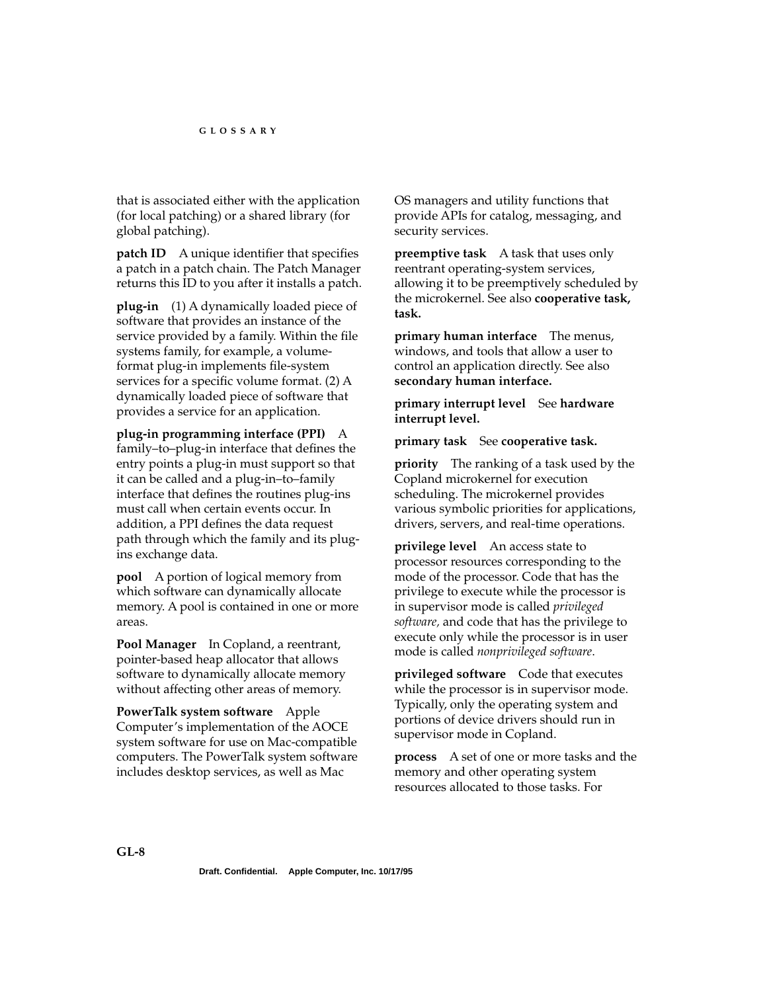that is associated either with the application (for local patching) or a shared library (for global patching).

**patch ID** A unique identifier that specifies a patch in a patch chain. The Patch Manager returns this ID to you after it installs a patch.

**plug-in** (1) A dynamically loaded piece of software that provides an instance of the service provided by a family. Within the file systems family, for example, a volumeformat plug-in implements file-system services for a specific volume format. (2) A dynamically loaded piece of software that provides a service for an application.

**plug-in programming interface (PPI)** A family–to–plug-in interface that defines the entry points a plug-in must support so that it can be called and a plug-in–to–family interface that defines the routines plug-ins must call when certain events occur. In addition, a PPI defines the data request path through which the family and its plugins exchange data.

**pool** A portion of logical memory from which software can dynamically allocate memory. A pool is contained in one or more areas.

**Pool Manager** In Copland, a reentrant, pointer-based heap allocator that allows software to dynamically allocate memory without affecting other areas of memory.

**PowerTalk system software** Apple Computer's implementation of the AOCE system software for use on Mac-compatible computers. The PowerTalk system software includes desktop services, as well as Mac

OS managers and utility functions that provide APIs for catalog, messaging, and security services.

**preemptive task** A task that uses only reentrant operating-system services, allowing it to be preemptively scheduled by the microkernel. See also **cooperative task, task.** 

**primary human interface** The menus, windows, and tools that allow a user to control an application directly. See also **secondary human interface.** 

**primary interrupt level** See **hardware interrupt level.** 

**primary task** See **cooperative task.** 

**priority** The ranking of a task used by the Copland microkernel for execution scheduling. The microkernel provides various symbolic priorities for applications, drivers, servers, and real-time operations.

**privilege level** An access state to processor resources corresponding to the mode of the processor. Code that has the privilege to execute while the processor is in supervisor mode is called *privileged software,* and code that has the privilege to execute only while the processor is in user mode is called *nonprivileged software*.

**privileged software** Code that executes while the processor is in supervisor mode. Typically, only the operating system and portions of device drivers should run in supervisor mode in Copland.

**process** A set of one or more tasks and the memory and other operating system resources allocated to those tasks. For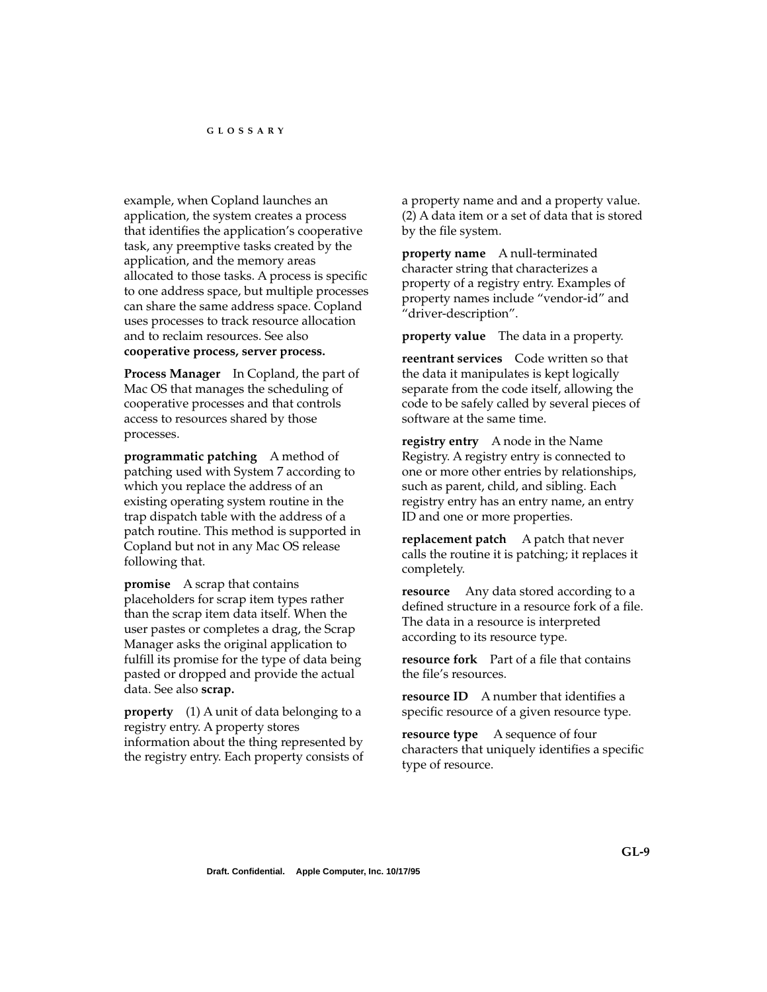example, when Copland launches an application, the system creates a process that identifies the application's cooperative task, any preemptive tasks created by the application, and the memory areas allocated to those tasks. A process is specific to one address space, but multiple processes can share the same address space. Copland uses processes to track resource allocation and to reclaim resources. See also **cooperative process, server process.** 

**Process Manager** In Copland, the part of Mac OS that manages the scheduling of cooperative processes and that controls access to resources shared by those processes.

**programmatic patching** A method of patching used with System 7 according to which you replace the address of an existing operating system routine in the trap dispatch table with the address of a patch routine. This method is supported in Copland but not in any Mac OS release following that.

**promise** A scrap that contains placeholders for scrap item types rather than the scrap item data itself. When the user pastes or completes a drag, the Scrap Manager asks the original application to fulfill its promise for the type of data being pasted or dropped and provide the actual data. See also **scrap.**

**property** (1) A unit of data belonging to a registry entry. A property stores information about the thing represented by the registry entry. Each property consists of a property name and and a property value. (2) A data item or a set of data that is stored by the file system.

**property name** A null-terminated character string that characterizes a property of a registry entry. Examples of property names include "vendor-id" and "driver-description".

**property value** The data in a property.

**reentrant services** Code written so that the data it manipulates is kept logically separate from the code itself, allowing the code to be safely called by several pieces of software at the same time.

**registry entry** A node in the Name Registry. A registry entry is connected to one or more other entries by relationships, such as parent, child, and sibling. Each registry entry has an entry name, an entry ID and one or more properties.

**replacement patch** A patch that never calls the routine it is patching; it replaces it completely.

**resource** Any data stored according to a defined structure in a resource fork of a file. The data in a resource is interpreted according to its resource type.

**resource fork** Part of a file that contains the file's resources.

**resource ID** A number that identifies a specific resource of a given resource type.

**resource type** A sequence of four characters that uniquely identifies a specific type of resource.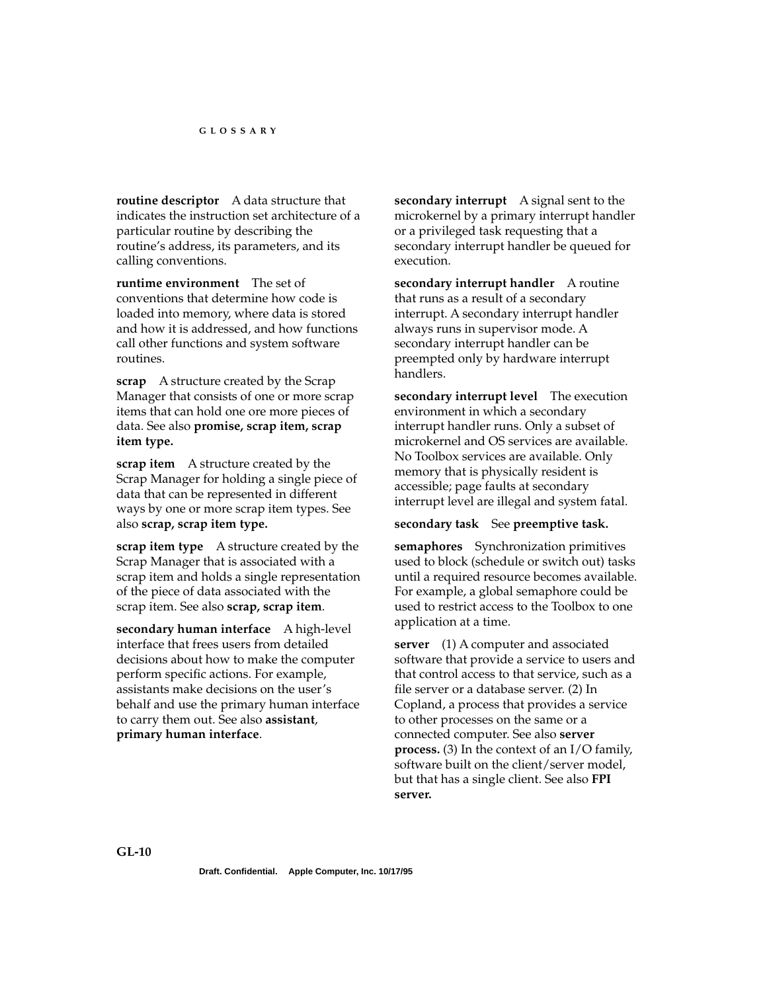**routine descriptor** A data structure that indicates the instruction set architecture of a particular routine by describing the routine's address, its parameters, and its calling conventions.

**runtime environment** The set of conventions that determine how code is loaded into memory, where data is stored and how it is addressed, and how functions call other functions and system software routines.

**scrap** A structure created by the Scrap Manager that consists of one or more scrap items that can hold one ore more pieces of data. See also **promise, scrap item, scrap item type.**

**scrap item** A structure created by the Scrap Manager for holding a single piece of data that can be represented in different ways by one or more scrap item types. See also **scrap, scrap item type.**

**scrap item type** A structure created by the Scrap Manager that is associated with a scrap item and holds a single representation of the piece of data associated with the scrap item. See also **scrap, scrap item**.

**secondary human interface** A high-level interface that frees users from detailed decisions about how to make the computer perform specific actions. For example, assistants make decisions on the user's behalf and use the primary human interface to carry them out. See also **assistant**, **primary human interface**.

**secondary interrupt** A signal sent to the microkernel by a primary interrupt handler or a privileged task requesting that a secondary interrupt handler be queued for execution.

**secondary interrupt handler** A routine that runs as a result of a secondary interrupt. A secondary interrupt handler always runs in supervisor mode. A secondary interrupt handler can be preempted only by hardware interrupt handlers.

**secondary interrupt level** The execution environment in which a secondary interrupt handler runs. Only a subset of microkernel and OS services are available. No Toolbox services are available. Only memory that is physically resident is accessible; page faults at secondary interrupt level are illegal and system fatal.

#### **secondary task** See **preemptive task.**

**semaphores** Synchronization primitives used to block (schedule or switch out) tasks until a required resource becomes available. For example, a global semaphore could be used to restrict access to the Toolbox to one application at a time.

**server** (1) A computer and associated software that provide a service to users and that control access to that service, such as a file server or a database server. (2) In Copland, a process that provides a service to other processes on the same or a connected computer. See also **server process.** (3) In the context of an I/O family, software built on the client/server model, but that has a single client. See also **FPI server.**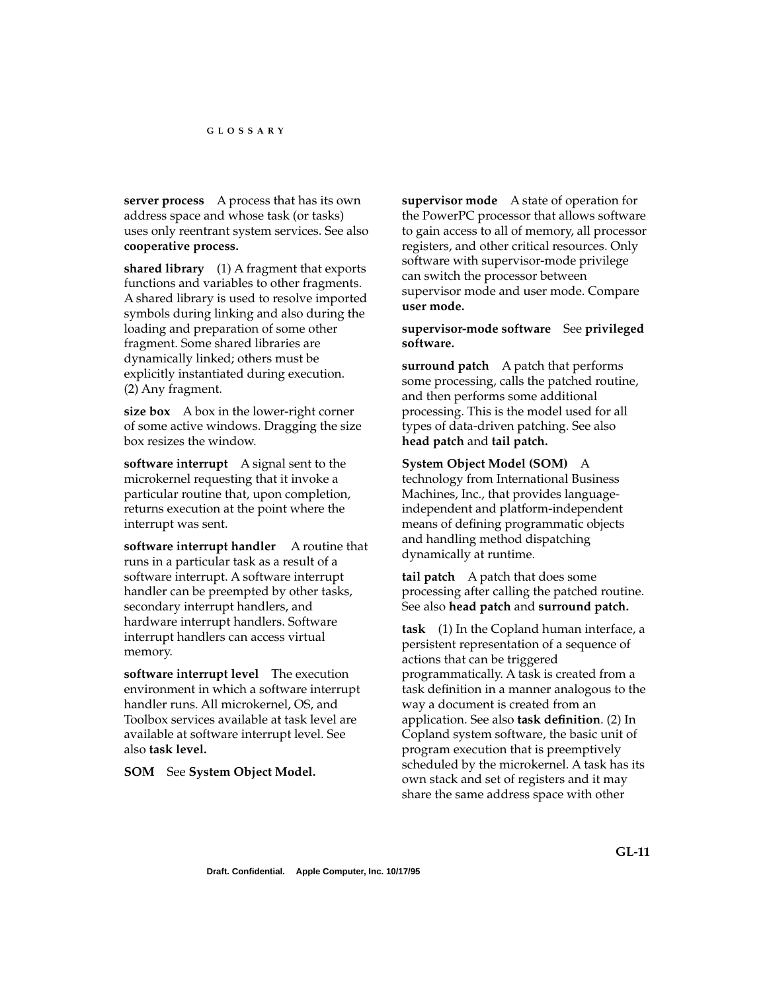**server process** A process that has its own address space and whose task (or tasks) uses only reentrant system services. See also **cooperative process.** 

**shared library** (1) A fragment that exports functions and variables to other fragments. A shared library is used to resolve imported symbols during linking and also during the loading and preparation of some other fragment. Some shared libraries are dynamically linked; others must be explicitly instantiated during execution. (2) Any fragment.

**size box** A box in the lower-right corner of some active windows. Dragging the size box resizes the window.

**software interrupt** A signal sent to the microkernel requesting that it invoke a particular routine that, upon completion, returns execution at the point where the interrupt was sent.

**software interrupt handler** A routine that runs in a particular task as a result of a software interrupt. A software interrupt handler can be preempted by other tasks, secondary interrupt handlers, and hardware interrupt handlers. Software interrupt handlers can access virtual memory.

**software interrupt level** The execution environment in which a software interrupt handler runs. All microkernel, OS, and Toolbox services available at task level are available at software interrupt level. See also **task level.** 

**SOM** See **System Object Model.** 

**supervisor mode** A state of operation for the PowerPC processor that allows software to gain access to all of memory, all processor registers, and other critical resources. Only software with supervisor-mode privilege can switch the processor between supervisor mode and user mode. Compare **user mode.** 

**supervisor-mode software** See **privileged software.** 

**surround patch** A patch that performs some processing, calls the patched routine, and then performs some additional processing. This is the model used for all types of data-driven patching. See also **head patch** and **tail patch.** 

**System Object Model (SOM)** A technology from International Business Machines, Inc., that provides languageindependent and platform-independent means of defining programmatic objects and handling method dispatching dynamically at runtime.

**tail patch** A patch that does some processing after calling the patched routine. See also **head patch** and **surround patch.**

**task** (1) In the Copland human interface, a persistent representation of a sequence of actions that can be triggered programmatically. A task is created from a task definition in a manner analogous to the way a document is created from an application. See also **task definition**. (2) In Copland system software, the basic unit of program execution that is preemptively scheduled by the microkernel. A task has its own stack and set of registers and it may share the same address space with other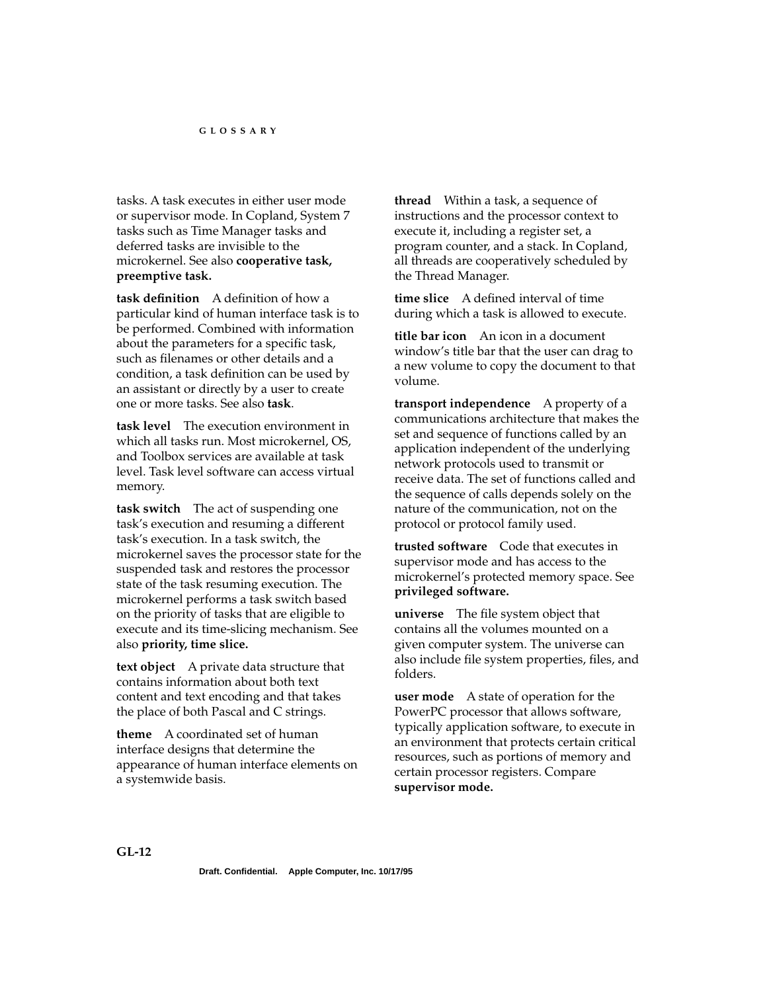tasks. A task executes in either user mode or supervisor mode. In Copland, System 7 tasks such as Time Manager tasks and deferred tasks are invisible to the microkernel. See also **cooperative task, preemptive task.** 

**task definition** A definition of how a particular kind of human interface task is to be performed. Combined with information about the parameters for a specific task, such as filenames or other details and a condition, a task definition can be used by an assistant or directly by a user to create one or more tasks. See also **task**.

**task level** The execution environment in which all tasks run. Most microkernel, OS, and Toolbox services are available at task level. Task level software can access virtual memory.

**task switch** The act of suspending one task's execution and resuming a different task's execution. In a task switch, the microkernel saves the processor state for the suspended task and restores the processor state of the task resuming execution. The microkernel performs a task switch based on the priority of tasks that are eligible to execute and its time-slicing mechanism. See also **priority, time slice.** 

**text object** A private data structure that contains information about both text content and text encoding and that takes the place of both Pascal and C strings.

**theme** A coordinated set of human interface designs that determine the appearance of human interface elements on a systemwide basis.

**thread** Within a task, a sequence of instructions and the processor context to execute it, including a register set, a program counter, and a stack. In Copland, all threads are cooperatively scheduled by the Thread Manager.

**time slice** A defined interval of time during which a task is allowed to execute.

**title bar icon** An icon in a document window's title bar that the user can drag to a new volume to copy the document to that volume.

**transport independence** A property of a communications architecture that makes the set and sequence of functions called by an application independent of the underlying network protocols used to transmit or receive data. The set of functions called and the sequence of calls depends solely on the nature of the communication, not on the protocol or protocol family used.

**trusted software** Code that executes in supervisor mode and has access to the microkernel's protected memory space. See **privileged software.** 

**universe** The file system object that contains all the volumes mounted on a given computer system. The universe can also include file system properties, files, and folders.

**user mode** A state of operation for the PowerPC processor that allows software, typically application software, to execute in an environment that protects certain critical resources, such as portions of memory and certain processor registers. Compare **supervisor mode.**